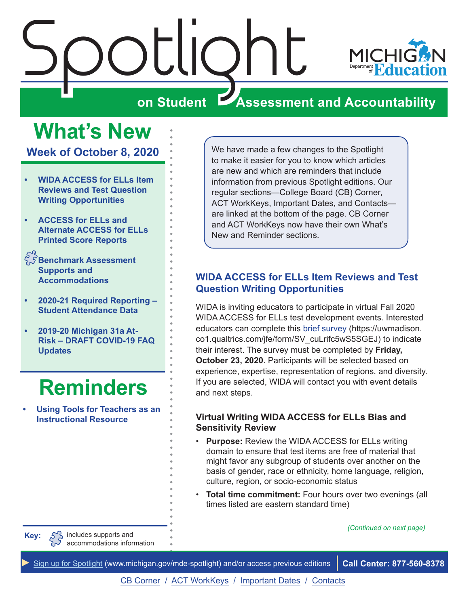<span id="page-0-0"></span>



## **Assessment and Accountability**

# **What's New**

**Week of October 8, 2020**

- **• WIDA ACCESS for ELLs Item Reviews and Test Question Writing Opportunities**
- **• [ACCESS for ELLs and](#page-1-0)  [Alternate ACCESS for ELLs](#page-1-0)  [Printed Score Reports](#page-1-0)**
- $\hat{\zeta}\hat{\mathcal{S}}$ Benchmark Assessment **[Supports and](#page-2-0)  [Accommodations](#page-2-0)**
- **• [2020-21 Required Reporting](#page-2-0)  [Student Attendance Data](#page-2-0)**
- **• [2019-20 Michigan 31a At-](#page-3-0)[Risk – DRAFT COVID-19 FAQ](#page-3-0)  [Updates](#page-3-0)**

## **[Reminders](#page-5-0)**

**• [Using Tools for Teachers as an](#page-5-1)  [Instructional Resource](#page-5-1)**

We have made a few changes to the Spotlight to make it easier for you to know which articles are new and which are reminders that include information from previous Spotlight editions. Our regular sections—College Board (CB) Corner, ACT WorkKeys, Important Dates, and Contacts are linked at the bottom of the page. CB Corner and ACT WorkKeys now have their own What's New and Reminder sections.

### **WIDA ACCESS for ELLs Item Reviews and Test Question Writing Opportunities**

WIDA is inviting educators to participate in virtual Fall 2020 WIDA ACCESS for ELLs test development events. Interested educators can complete this [brief survey](https://uwmadison.co1.qualtrics.com/jfe/form/SV_cuLrifc5wS5SGEJ) (https://uwmadison. co1.qualtrics.com/jfe/form/SV\_cuLrifc5wS5SGEJ) to indicate their interest. The survey must be completed by **Friday, October 23, 2020**. Participants will be selected based on experience, expertise, representation of regions, and diversity. If you are selected, WIDA will contact you with event details and next steps.

### **Virtual Writing WIDA ACCESS for ELLs Bias and Sensitivity Review**

- **Purpose:** Review the WIDA ACCESS for ELLs writing domain to ensure that test items are free of material that might favor any subgroup of students over another on the basis of gender, race or ethnicity, home language, religion, culture, region, or socio-economic status
- **Total time commitment:** Four hours over two evenings (all times listed are eastern standard time)

*(Continued on next page)*

includes supports and accommodations information

**Key:**

*►* [Sign up for Spotlight](https://public.govdelivery.com/accounts/MIMDE/subscriber/new) ([www.michigan.gov/mde](www.michigan.gov/mde-spotlight)-spotlight) and/or access previous editions **Call Center: 877-560-8378**

[CB Corner](#page-6-0) / [ACT WorkKeys](#page-8-0) / [Important Dates](#page-9-0) / [Contacts](#page-10-0)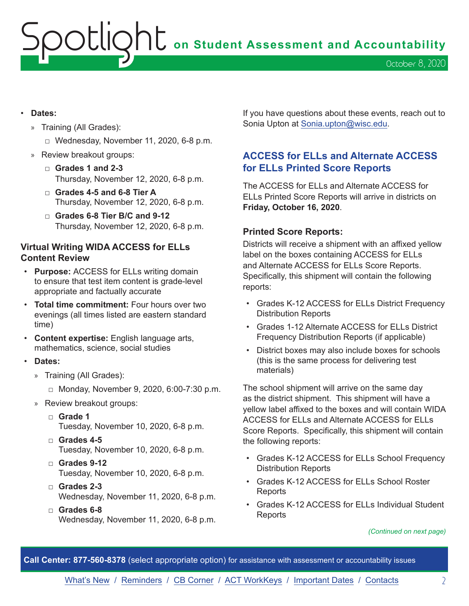# <span id="page-1-0"></span>OCLIQht on Student Assessment and Accountability October 8, 2020

- **Dates:**
	- » Training (All Grades):
		- □ Wednesday, November 11, 2020, 6-8 p.m.
	- » Review breakout groups:
		- □ **Grades 1 and 2-3**  Thursday, November 12, 2020, 6-8 p.m.
		- □ **Grades 4-5 and 6-8 Tier A**  Thursday, November 12, 2020, 6-8 p.m.
		- □ **Grades 6-8 Tier B/C and 9-12** Thursday, November 12, 2020, 6-8 p.m.

### **Virtual Writing WIDA ACCESS for ELLs Content Review**

- **Purpose:** ACCESS for ELLs writing domain to ensure that test item content is grade-level appropriate and factually accurate
- **Total time commitment:** Four hours over two evenings (all times listed are eastern standard time)
- **Content expertise:** English language arts, mathematics, science, social studies
- **Dates:**
	- » Training (All Grades):
		- □ Monday, November 9, 2020, 6:00-7:30 p.m.
	- » Review breakout groups:
		- □ **Grade 1**  Tuesday, November 10, 2020, 6-8 p.m.
		- □ **Grades 4-5** Tuesday, November 10, 2020, 6-8 p.m.
		- □ **Grades 9-12** Tuesday, November 10, 2020, 6-8 p.m.
		- □ **Grades 2-3** Wednesday, November 11, 2020, 6-8 p.m.
		- □ **Grades 6-8** Wednesday, November 11, 2020, 6-8 p.m.

If you have questions about these events, reach out to Sonia Upton at [Sonia.upton@wisc.edu.](mailto:Sonia.upton%40wisc.edu?subject=)

### **ACCESS for ELLs and Alternate ACCESS for ELLs Printed Score Reports**

The ACCESS for ELLs and Alternate ACCESS for ELLs Printed Score Reports will arrive in districts on **Friday, October 16, 2020**.

### **Printed Score Reports:**

Districts will receive a shipment with an affixed yellow label on the boxes containing ACCESS for ELLs and Alternate ACCESS for ELLs Score Reports. Specifically, this shipment will contain the following reports:

- Grades K-12 ACCESS for ELLs District Frequency Distribution Reports
- Grades 1-12 Alternate ACCESS for ELLs District Frequency Distribution Reports (if applicable)
- District boxes may also include boxes for schools (this is the same process for delivering test materials)

The school shipment will arrive on the same day as the district shipment. This shipment will have a yellow label affixed to the boxes and will contain WIDA ACCESS for ELLs and Alternate ACCESS for ELLs Score Reports. Specifically, this shipment will contain the following reports:

- Grades K-12 ACCESS for ELLs School Frequency Distribution Reports
- Grades K-12 ACCESS for ELLs School Roster **Reports**
- Grades K-12 ACCESS for ELLs Individual Student **Reports**

#### *(Continued on next page)*

**Call Center: 877-560-8378** (select appropriate option) for assistance with assessment or accountability issues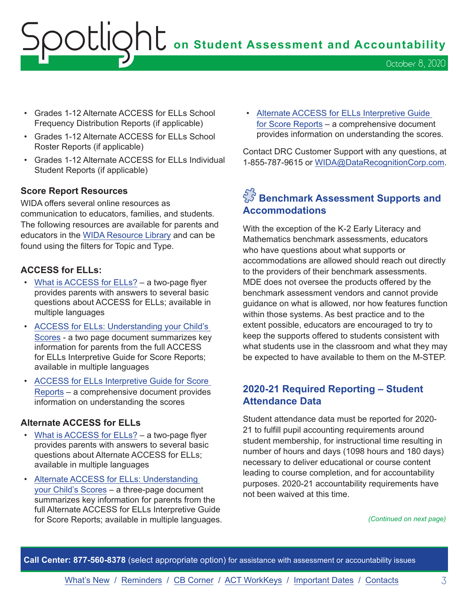# <span id="page-2-0"></span>OCLION<sub>L</sub> on Student Assessment and Accountability October 8, 2020

- Grades 1-12 Alternate ACCESS for ELLs School Frequency Distribution Reports (if applicable)
- Grades 1-12 Alternate ACCESS for ELLs School Roster Reports (if applicable)
- Grades 1-12 Alternate ACCESS for ELLs Individual Student Reports (if applicable)

### **Score Report Resources**

WIDA offers several online resources as communication to educators, families, and students. The following resources are available for parents and educators in the [WIDA Resource Library](https://wida.wisc.edu/resources) and can be found using the filters for Topic and Type.

### **ACCESS for ELLs:**

- [What is ACCESS for ELLs?](https://wida.wisc.edu/resources?keys=&field_type_target_id%5B355%5D=355&utm_campaign=MI13%20Paper&utm_medium=email&utm_source=Eloqua) a two-page flyer provides parents with answers to several basic questions about ACCESS for ELLs; available in multiple languages
- [ACCESS for ELLs: Understanding your Child's](https://wida.wisc.edu/resources?keys=&field_type_target_id%5B354%5D=354&utm_campaign=MI13%20Paper&utm_medium=email&utm_source=Eloqua)  [Scores](https://wida.wisc.edu/resources?keys=&field_type_target_id%5B354%5D=354&utm_campaign=MI13%20Paper&utm_medium=email&utm_source=Eloqua) - a two page document summarizes key information for parents from the full ACCESS for ELLs Interpretive Guide for Score Reports; available in multiple languages
- [ACCESS for ELLs Interpretive Guide for Score](https://wida.wisc.edu/resources/access-ells-interpretive-guide-score-reports?utm_campaign=MI13%20Paper&utm_medium=email&utm_source=Eloqua)  [Reports](https://wida.wisc.edu/resources/access-ells-interpretive-guide-score-reports?utm_campaign=MI13%20Paper&utm_medium=email&utm_source=Eloqua) – a comprehensive document provides information on understanding the scores

### **Alternate ACCESS for ELLs**

- [What is ACCESS for ELLs?](https://wida.wisc.edu/resources?keys=&field_type_target_id%5B355%5D=355&utm_campaign=MI13%20Paper&utm_medium=email&utm_source=Eloqua) a two-page flyer provides parents with answers to several basic questions about Alternate ACCESS for ELLs; available in multiple languages
- [Alternate ACCESS for ELLs: Understanding](https://wida.wisc.edu/resources?keys=understanding&field_type_target_id%5B331%5D=331&utm_campaign=MI13%20Paper&utm_medium=email&utm_source=Eloqua)  [your Child's Scores](https://wida.wisc.edu/resources?keys=understanding&field_type_target_id%5B331%5D=331&utm_campaign=MI13%20Paper&utm_medium=email&utm_source=Eloqua) – a three-page document summarizes key information for parents from the full Alternate ACCESS for ELLs Interpretive Guide for Score Reports; available in multiple languages.

• [Alternate ACCESS for ELLs Interpretive Guide](https://wida.wisc.edu/resources/alternate-access-ells-interpretive-guide-score-reports?utm_campaign=MI13%20Paper&utm_medium=email&utm_source=Eloqua)  [for Score Reports](https://wida.wisc.edu/resources/alternate-access-ells-interpretive-guide-score-reports?utm_campaign=MI13%20Paper&utm_medium=email&utm_source=Eloqua) – a comprehensive document provides information on understanding the scores.

Contact DRC Customer Support with any questions, at 1-855-787-9615 or [WIDA@DataRecognitionCorp.com](mailto:WIDA%40DataRecognitionCorp.com?subject=).

## $\AA$  Benchmark Assessment Supports and **Accommodations**

With the exception of the K-2 Early Literacy and Mathematics benchmark assessments, educators who have questions about what supports or accommodations are allowed should reach out directly to the providers of their benchmark assessments. MDE does not oversee the products offered by the benchmark assessment vendors and cannot provide guidance on what is allowed, nor how features function within those systems. As best practice and to the extent possible, educators are encouraged to try to keep the supports offered to students consistent with what students use in the classroom and what they may be expected to have available to them on the M-STEP.

### **2020-21 Required Reporting – Student Attendance Data**

Student attendance data must be reported for 2020- 21 to fulfill pupil accounting requirements around student membership, for instructional time resulting in number of hours and days (1098 hours and 180 days) necessary to deliver educational or course content leading to course completion, and for accountability purposes. 2020-21 accountability requirements have not been waived at this time.

*(Continued on next page)*

**Call Center: 877-560-8378** (select appropriate option) for assistance with assessment or accountability issues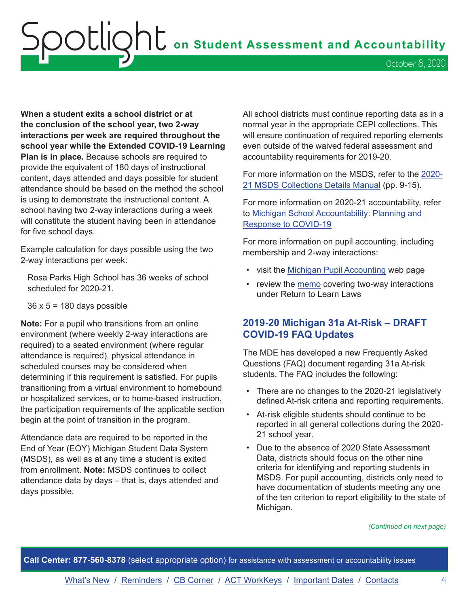# <span id="page-3-0"></span>Spotlight **on Student Assessment and Accountability** October 8, 2020

**When a student exits a school district or at the conclusion of the school year, two 2-way interactions per week are required throughout the school year while the Extended COVID-19 Learning Plan is in place.** Because schools are required to provide the equivalent of 180 days of instructional content, days attended and days possible for student attendance should be based on the method the school is using to demonstrate the instructional content. A school having two 2-way interactions during a week will constitute the student having been in attendance for five school days.

Example calculation for days possible using the two 2-way interactions per week:

Rosa Parks High School has 36 weeks of school scheduled for 2020-21.

 $36 \times 5 = 180$  days possible

**Note:** For a pupil who transitions from an online environment (where weekly 2-way interactions are required) to a seated environment (where regular attendance is required), physical attendance in scheduled courses may be considered when determining if this requirement is satisfied. For pupils transitioning from a virtual environment to homebound or hospitalized services, or to home-based instruction, the participation requirements of the applicable section begin at the point of transition in the program.

Attendance data are required to be reported in the End of Year (EOY) Michigan Student Data System (MSDS), as well as at any time a student is exited from enrollment. **Note:** MSDS continues to collect attendance data by days – that is, days attended and days possible.

All school districts must continue reporting data as in a normal year in the appropriate CEPI collections. This will ensure continuation of required reporting elements even outside of the waived federal assessment and accountability requirements for 2019-20.

For more information on the MSDS, refer to the [2020-](https://www.michigan.gov/documents/cepi/Collection_Details_SY20-21_687071_7.pdf) [21 MSDS Collections Details Manual](https://www.michigan.gov/documents/cepi/Collection_Details_SY20-21_687071_7.pdf) (pp. 9-15).

For more information on 2020-21 accountability, refer to [Michigan School Accountability: Planning and](https://www.michigan.gov/documents/mde/Michigan_School_Accountability_Planning_and_Response_to_COVID-19_701197_7.pdf)  [Response to COVID-19](https://www.michigan.gov/documents/mde/Michigan_School_Accountability_Planning_and_Response_to_COVID-19_701197_7.pdf)

For more information on pupil accounting, including membership and 2-way interactions:

- visit the [Michigan Pupil Accounting](https://www.michigan.gov/mde/0,4615,7-140-6605-22360--,00.html) web page
- review the [memo](https://www.michigan.gov/documents/mde/Two-Way_Interactions__703640_7.pdf) covering two-way interactions under Return to Learn Laws

### **2019-20 Michigan 31a At-Risk – DRAFT COVID-19 FAQ Updates**

The MDE has developed a new Frequently Asked Questions (FAQ) document regarding 31a At-risk students. The FAQ includes the following:

- There are no changes to the 2020-21 legislatively defined At-risk criteria and reporting requirements.
- At-risk eligible students should continue to be reported in all general collections during the 2020- 21 school year.
- Due to the absence of 2020 State Assessment Data, districts should focus on the other nine criteria for identifying and reporting students in MSDS. For pupil accounting, districts only need to have documentation of students meeting any one of the ten criterion to report eligibility to the state of Michigan.

#### *(Continued on next page)*

**Call Center: 877-560-8378** (select appropriate option) for assistance with assessment or accountability issues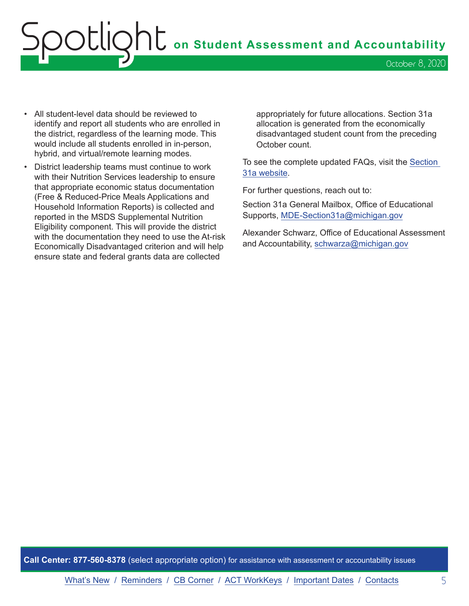# OOCLIQhC on Student Assessment and Accountability October 8, 2020

- All student-level data should be reviewed to identify and report all students who are enrolled in the district, regardless of the learning mode. This would include all students enrolled in in-person, hybrid, and virtual/remote learning modes.
- District leadership teams must continue to work with their Nutrition Services leadership to ensure that appropriate economic status documentation (Free & Reduced-Price Meals Applications and Household Information Reports) is collected and reported in the MSDS Supplemental Nutrition Eligibility component. This will provide the district with the documentation they need to use the At-risk Economically Disadvantaged criterion and will help ensure state and federal grants data are collected

appropriately for future allocations. Section 31a allocation is generated from the economically disadvantaged student count from the preceding October count.

To see the complete updated FAQs, visit the [Section](https://www.michigan.gov/mde/0,4615,7-140-81376_51051-43638--,00.html)  [31a website.](https://www.michigan.gov/mde/0,4615,7-140-81376_51051-43638--,00.html)

For further questions, reach out to:

Section 31a General Mailbox, Office of Educational Supports, [MDE-Section31a@michigan.gov](mailto:MDE-Section31a%40michigan.gov?subject=)

Alexander Schwarz, Office of Educational Assessment and Accountability, [schwarza@michigan.gov](mailto:schwarza%40michigan.gov?subject=)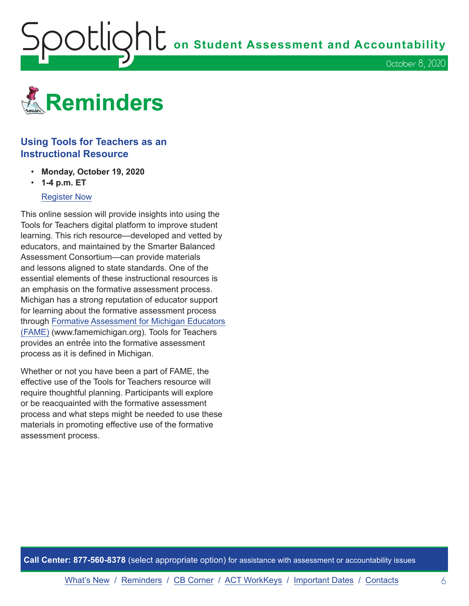<span id="page-5-1"></span>**OOUQNU** on Student Assessment and Accountability

October 8, 2020

<span id="page-5-0"></span>

### **Using Tools for Teachers as an Instructional Resource**

- **Monday, October 19, 2020**
- **1-4 p.m. ET**

### [Register Now](https://www.michiganassessmentconsortium.org/event/using-tools-for-teachers-as-an-instructional-resource/)

This online session will provide insights into using the Tools for Teachers digital platform to improve student learning. This rich resource—developed and vetted by educators, and maintained by the Smarter Balanced Assessment Consortium—can provide materials and lessons aligned to state standards. One of the essential elements of these instructional resources is an emphasis on the formative assessment process. Michigan has a strong reputation of educator support for learning about the formative assessment process through [Formative Assessment for Michigan Educators](http://www.FAMEMichigan.org) [\(FAME\)](http://www.FAMEMichigan.org) (www.famemichigan.org). Tools for Teachers provides an entrée into the formative assessment process as it is defined in Michigan.

Whether or not you have been a part of FAME, the effective use of the Tools for Teachers resource will require thoughtful planning. Participants will explore or be reacquainted with the formative assessment process and what steps might be needed to use these materials in promoting effective use of the formative assessment process.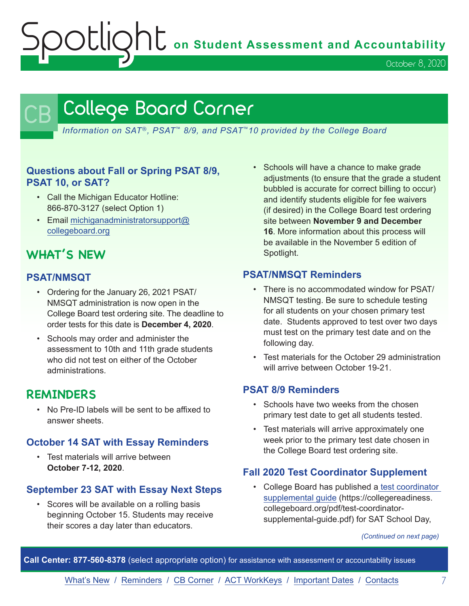OCLIQht on Student Assessment and Accountability

October 8, 2020

## <span id="page-6-0"></span>College Board Corner

*Information on SAT*®*, PSAT*™ *8/9, and PSAT*™*10 provided by the College Board*

### **Questions about Fall or Spring PSAT 8/9, PSAT 10, or SAT?**

- Call the Michigan Educator Hotline: 866-870-3127 (select Option 1)
- Email [michiganadministratorsupport@](mailto:michiganadministratorsupport%40collegeboard.org?subject=) [collegeboard.org](mailto:michiganadministratorsupport%40collegeboard.org?subject=)

## **WHAT'S NEW**

### **PSAT/NMSQT**

- Ordering for the January 26, 2021 PSAT/ NMSQT administration is now open in the College Board test ordering site. The deadline to order tests for this date is **December 4, 2020**.
- Schools may order and administer the assessment to 10th and 11th grade students who did not test on either of the October administrations.

### **REMINDERS**

• No Pre-ID labels will be sent to be affixed to answer sheets.

### **October 14 SAT with Essay Reminders**

• Test materials will arrive between **October 7-12, 2020**.

### **September 23 SAT with Essay Next Steps**

• Scores will be available on a rolling basis beginning October 15. Students may receive their scores a day later than educators.

• Schools will have a chance to make grade adjustments (to ensure that the grade a student bubbled is accurate for correct billing to occur) and identify students eligible for fee waivers (if desired) in the College Board test ordering site between **November 9 and December 16**. More information about this process will be available in the November 5 edition of Spotlight.

### **PSAT/NMSQT Reminders**

- There is no accommodated window for PSAT/ NMSQT testing. Be sure to schedule testing for all students on your chosen primary test date. Students approved to test over two days must test on the primary test date and on the following day.
- Test materials for the October 29 administration will arrive between October 19-21.

### **PSAT 8/9 Reminders**

- Schools have two weeks from the chosen primary test date to get all students tested.
- Test materials will arrive approximately one week prior to the primary test date chosen in the College Board test ordering site.

### **Fall 2020 Test Coordinator Supplement**

• College Board has published [a test coordinator](https://collegereadiness.collegeboard.org/pdf/test-coordinator-supplemental-guide.pdf)  [supplemental guide](https://collegereadiness.collegeboard.org/pdf/test-coordinator-supplemental-guide.pdf) (https://collegereadiness. collegeboard.org/pdf/test-coordinatorsupplemental-guide.pdf) for SAT School Day,

*(Continued on next page)*

**Call Center: 877-560-8378** (select appropriate option) for assistance with assessment or accountability issues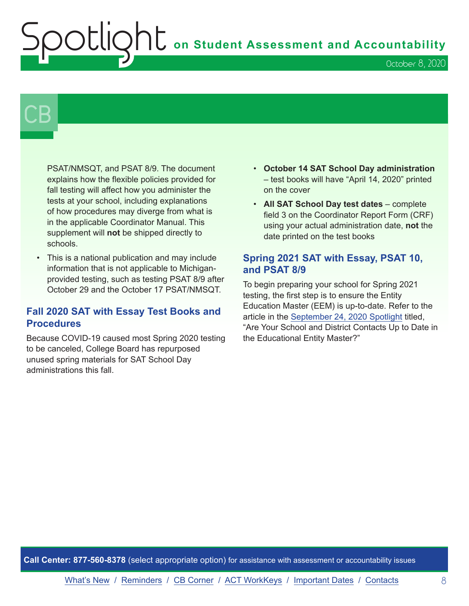# **OU** on Student Assessment and Accountability

October 8, 2020

# $\mathsf{CB}\mid$

PSAT/NMSQT, and PSAT 8/9. The document explains how the flexible policies provided for fall testing will affect how you administer the tests at your school, including explanations of how procedures may diverge from what is in the applicable Coordinator Manual. This supplement will **not** be shipped directly to schools.

• This is a national publication and may include information that is not applicable to Michiganprovided testing, such as testing PSAT 8/9 after October 29 and the October 17 PSAT/NMSQT.

### **Fall 2020 SAT with Essay Test Books and Procedures**

Because COVID-19 caused most Spring 2020 testing to be canceled, College Board has repurposed unused spring materials for SAT School Day administrations this fall.

- **October 14 SAT School Day administration** – test books will have "April 14, 2020" printed on the cover
- **All SAT School Day test dates** complete field 3 on the Coordinator Report Form (CRF) using your actual administration date, **not** the date printed on the test books

### **Spring 2021 SAT with Essay, PSAT 10, and PSAT 8/9**

To begin preparing your school for Spring 2021 testing, the first step is to ensure the Entity Education Master (EEM) is up-to-date. Refer to the article in the [September 24, 2020 Spotlight](https://www.michigan.gov/documents/mde/Spotlight_9-24-20_703294_7.pdf) titled, "Are Your School and District Contacts Up to Date in the Educational Entity Master?"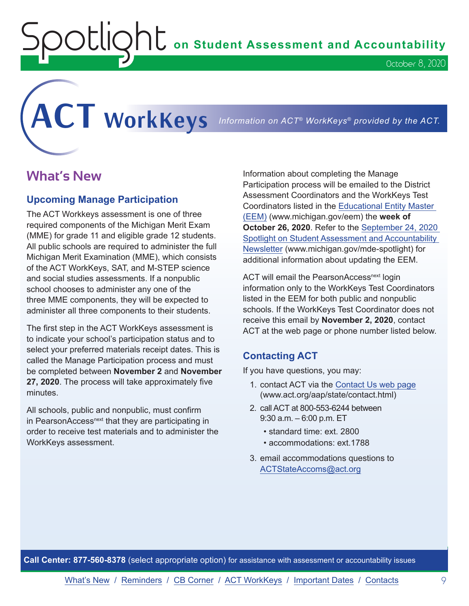$\text{O}\text{UQ}$  on Student Assessment and Accountability

<span id="page-8-0"></span>**ACT WorkKeys** *Information on ACT® WorkKeys® provided by the ACT.*

## **What's New**

### **Upcoming Manage Participation**

The ACT Workkeys assessment is one of three required components of the Michigan Merit Exam (MME) for grade 11 and eligible grade 12 students. All public schools are required to administer the full Michigan Merit Examination (MME), which consists of the ACT WorkKeys, SAT, and M-STEP science and social studies assessments. If a nonpublic school chooses to administer any one of the three MME components, they will be expected to administer all three components to their students.

The first step in the ACT WorkKeys assessment is to indicate your school's participation status and to select your preferred materials receipt dates. This is called the Manage Participation process and must be completed between **November 2** and **November 27, 2020**. The process will take approximately five minutes.

All schools, public and nonpublic, must confirm in PearsonAccess<sup>next</sup> that they are participating in order to receive test materials and to administer the WorkKeys assessment.

Information about completing the Manage Participation process will be emailed to the District Assessment Coordinators and the WorkKeys Test Coordinators listed in the [Educational Entity Master](www.michigan.gov/EEM)  [\(EEM\)](www.michigan.gov/EEM) (www.michigan.gov/eem) the **week of October 26, 2020**. Refer to the [September 24, 2020](https://www.michigan.gov/documents/mde/Spotlight_9-24-20_703294_7.pdf)  [Spotlight on Student Assessment and Accountability](https://www.michigan.gov/documents/mde/Spotlight_9-24-20_703294_7.pdf)  [Newsletter](https://www.michigan.gov/documents/mde/Spotlight_9-24-20_703294_7.pdf) (www.michigan.gov/mde-spotlight) for additional information about updating the EEM.

ACT will email the PearsonAccess<sup>next</sup> login information only to the WorkKeys Test Coordinators listed in the EEM for both public and nonpublic schools. If the WorkKeys Test Coordinator does not receive this email by **November 2, 2020**, contact ACT at the web page or phone number listed below.

### **Contacting ACT**

If you have questions, you may:

- 1. contact ACT via the [Contact Us web page](http://www.act.org/aap/state/contact.html) [\(www.act.org/aap/state/contact.html\)](https://www.act.org/aap/state/contact.html)
- 2. call ACT at 800-553-6244 between 9:30 a.m. – 6:00 p.m. ET
	- standard time: ext. 2800
	- accommodations: ext.1788
- 3. email accommodations questions to [ACTStateAccoms@act.org](mailto:ACTStateAccoms%40act.org?subject=)

**Call Center: 877-560-8378** (select appropriate option) for assistance with assessment or accountability issues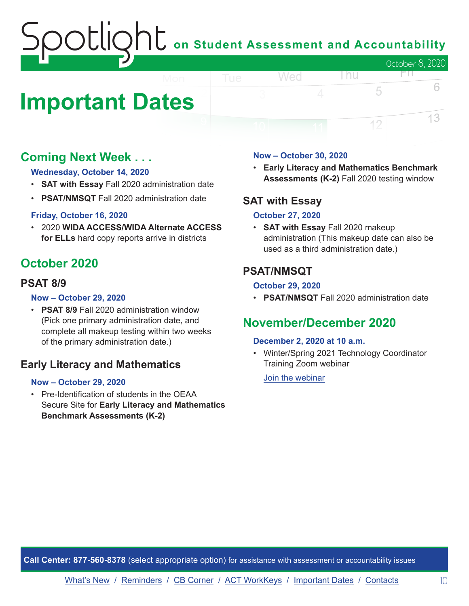# **The Student Assessment and Accountability** October 8, 2020

## <span id="page-9-0"></span>**Important Dates**

## **Coming Next Week . . .**

### **Wednesday, October 14, 2020**

- **SAT with Essay** Fall 2020 administration date
- **PSAT/NMSQT** Fall 2020 administration date

### **Friday, October 16, 2020**

• 2020 **WIDA ACCESS/WIDA Alternate ACCESS for ELLs** hard copy reports arrive in districts

## **October 2020**

### **PSAT 8/9**

### **Now – October 29, 2020**

• **PSAT 8/9** Fall 2020 administration window (Pick one primary administration date, and complete all makeup testing within two weeks of the primary administration date.)

### **Early Literacy and Mathematics**

### **Now – October 29, 2020**

• Pre-Identification of students in the OEAA Secure Site for **Early Literacy and Mathematics Benchmark Assessments (K-2)**

### **Now – October 30, 2020**

Wed

• **Early Literacy and Mathematics Benchmark Assessments (K-2)** Fall 2020 testing window

l nu

FП.

5

12

6

13

### **SAT with Essay**

### **October 27, 2020**

• **SAT with Essay** Fall 2020 makeup administration (This makeup date can also be used as a third administration date.)

### **PSAT/NMSQT**

### **October 29, 2020**

• **PSAT/NMSQT** Fall 2020 administration date

## **November/December 2020**

### **December 2, 2020 at 10 a.m.**

• Winter/Spring 2021 Technology Coordinator Training Zoom webinar

[Join the webinar](https://datarecognitioncorp.zoom.us/j/99441419689)